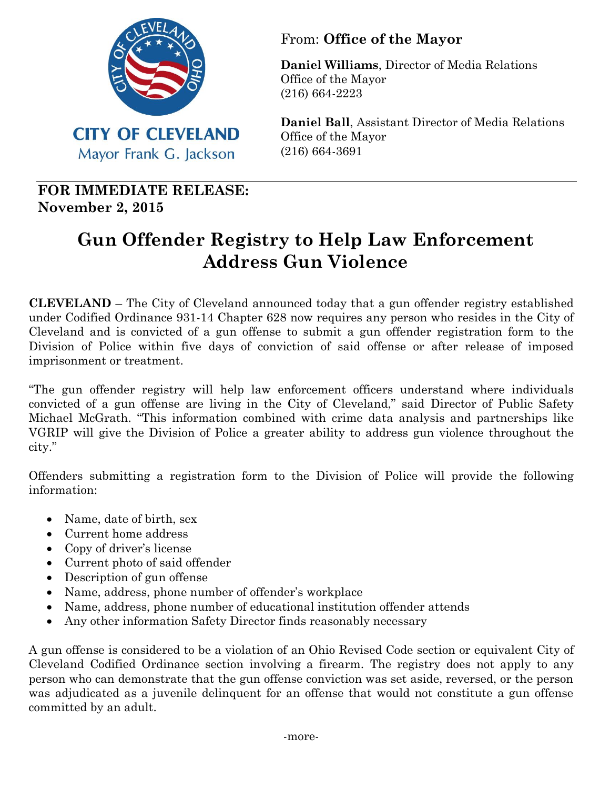

## From: **Office of the Mayor**

**Daniel Williams**, Director of Media Relations Office of the Mayor (216) 664-2223

**Daniel Ball**, Assistant Director of Media Relations Office of the Mayor (216) 664-3691

**FOR IMMEDIATE RELEASE: November 2, 2015** 

## **Gun Offender Registry to Help Law Enforcement Address Gun Violence**

**CLEVELAND** – The City of Cleveland announced today that a gun offender registry established under Codified Ordinance 931-14 Chapter 628 now requires any person who resides in the City of Cleveland and is convicted of a gun offense to submit a gun offender registration form to the Division of Police within five days of conviction of said offense or after release of imposed imprisonment or treatment.

"The gun offender registry will help law enforcement officers understand where individuals convicted of a gun offense are living in the City of Cleveland," said Director of Public Safety Michael McGrath. "This information combined with crime data analysis and partnerships like VGRIP will give the Division of Police a greater ability to address gun violence throughout the city."

Offenders submitting a registration form to the Division of Police will provide the following information:

- Name, date of birth, sex
- Current home address
- Copy of driver's license
- Current photo of said offender
- Description of gun offense
- Name, address, phone number of offender's workplace
- Name, address, phone number of educational institution offender attends
- Any other information Safety Director finds reasonably necessary

A gun offense is considered to be a violation of an Ohio Revised Code section or equivalent City of Cleveland Codified Ordinance section involving a firearm. The registry does not apply to any person who can demonstrate that the gun offense conviction was set aside, reversed, or the person was adjudicated as a juvenile delinquent for an offense that would not constitute a gun offense committed by an adult.